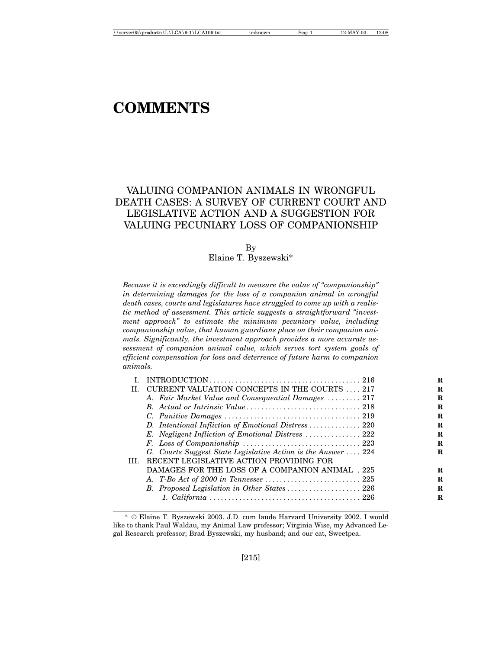# **COMMENTS**

## VALUING COMPANION ANIMALS IN WRONGFUL DEATH CASES: A SURVEY OF CURRENT COURT AND LEGISLATIVE ACTION AND A SUGGESTION FOR VALUING PECUNIARY LOSS OF COMPANIONSHIP

By

Elaine T. Byszewski\*

*Because it is exceedingly difficult to measure the value of "companionship" in determining damages for the loss of a companion animal in wrongful death cases, courts and legislatures have struggled to come up with a realistic method of assessment. This article suggests a straightforward "investment approach" to estimate the minimum pecuniary value, including companionship value, that human guardians place on their companion animals. Significantly, the investment approach provides a more accurate assessment of companion animal value, which serves tort system goals of efficient compensation for loss and deterrence of future harm to companion animals.*

|     |                                                               | R |
|-----|---------------------------------------------------------------|---|
| H.  | CURRENT VALUATION CONCEPTS IN THE COURTS  217                 | R |
|     | A. Fair Market Value and Consequential Damages  217           | R |
|     |                                                               | R |
|     |                                                               | R |
|     | D. Intentional Infliction of Emotional Distress  220          | R |
|     |                                                               | R |
|     |                                                               | R |
|     | G. Courts Suggest State Legislative Action is the Answer  224 | R |
| HL. | RECENT LEGISLATIVE ACTION PROVIDING FOR                       |   |
|     | DAMAGES FOR THE LOSS OF A COMPANION ANIMAL . 225              | R |
|     |                                                               | R |
|     | B. Proposed Legislation in Other States  226                  | R |
|     |                                                               | R |
|     |                                                               |   |

<sup>\*</sup> Elaine T. Byszewski 2003. J.D. cum laude Harvard University 2002. I would like to thank Paul Waldau, my Animal Law professor; Virginia Wise, my Advanced Legal Research professor; Brad Byszewski, my husband; and our cat, Sweetpea.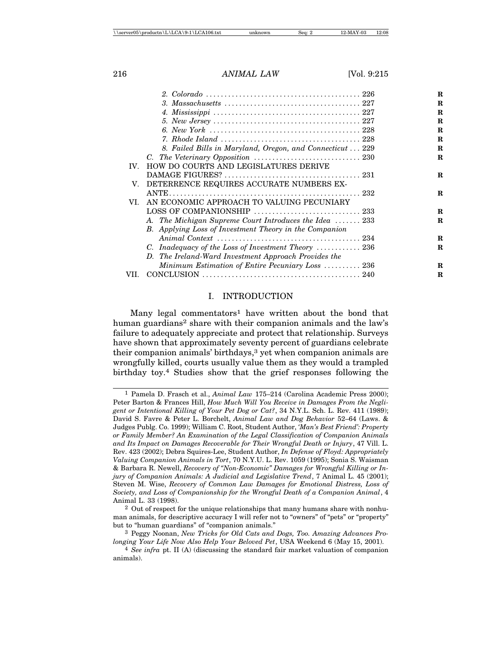|                   |                                                           | R           |
|-------------------|-----------------------------------------------------------|-------------|
|                   |                                                           | R           |
|                   |                                                           | $\bf R$     |
|                   |                                                           | R           |
|                   |                                                           | $\mathbf R$ |
|                   |                                                           | R           |
|                   | 8. Failed Bills in Maryland, Oregon, and Connecticut  229 | R           |
|                   |                                                           | R           |
| $\mathbf{IV}_{-}$ | HOW DO COURTS AND LEGISLATURES DERIVE                     |             |
|                   |                                                           | $\mathbf R$ |
| V.                | DETERRENCE REQUIRES ACCURATE NUMBERS EX-                  |             |
|                   |                                                           | $\mathbf R$ |
| VI.               | AN ECONOMIC APPROACH TO VALUING PECUNIARY                 |             |
|                   |                                                           | $\mathbf R$ |
|                   | A. The Michigan Supreme Court Introduces the Idea 233     | R           |
|                   | B. Applying Loss of Investment Theory in the Companion    |             |
|                   |                                                           | R           |
|                   | C. Inadequacy of the Loss of Investment Theory  236       | R           |
|                   | D. The Ireland-Ward Investment Approach Provides the      |             |
|                   | Minimum Estimation of Entire Pecuniary Loss  236          | R           |
| VII.              |                                                           | R           |
|                   |                                                           |             |

#### I. INTRODUCTION

Many legal commentators<sup>1</sup> have written about the bond that human guardians<sup>2</sup> share with their companion animals and the law's failure to adequately appreciate and protect that relationship. Surveys have shown that approximately seventy percent of guardians celebrate their companion animals' birthdays, $3$  yet when companion animals are wrongfully killed, courts usually value them as they would a trampled birthday toy.4 Studies show that the grief responses following the

<sup>1</sup> Pamela D. Frasch et al., *Animal Law* 175–214 (Carolina Academic Press 2000); Peter Barton & Frances Hill, *How Much Will You Receive in Damages From the Negligent or Intentional Killing of Your Pet Dog or Cat?*, 34 N.Y.L. Sch. L. Rev. 411 (1989); David S. Favre & Peter L. Borchelt, *Animal Law and Dog Behavior* 52–64 (Laws. & Judges Publg. Co. 1999); William C. Root, Student Author, *'Man's Best Friend': Property or Family Member? An Examination of the Legal Classification of Companion Animals and Its Impact on Damages Recoverable for Their Wrongful Death or Injury*, 47 Vill. L. Rev. 423 (2002); Debra Squires-Lee, Student Author, *In Defense of Floyd: Appropriately Valuing Companion Animals in Tort*, 70 N.Y.U. L. Rev. 1059 (1995); Sonia S. Waisman & Barbara R. Newell, *Recovery of ''Non-Economic" Damages for Wrongful Killing or Injury of Companion Animals: A Judicial and Legislative Trend*, 7 Animal L. 45 (2001); Steven M. Wise, *Recovery of Common Law Damages for Emotional Distress, Loss of Society, and Loss of Companionship for the Wrongful Death of a Companion Animal*, 4 Animal L. 33 (1998).

<sup>2</sup> Out of respect for the unique relationships that many humans share with nonhuman animals, for descriptive accuracy I will refer not to "owners" of "pets" or "property" but to "human guardians" of "companion animals."

<sup>3</sup> Peggy Noonan, *New Tricks for Old Cats and Dogs, Too. Amazing Advances Prolonging Your Life Now Also Help Your Beloved Pet*, USA Weekend 6 (May 15, 2001).

<sup>4</sup> *See infra* pt. II (A) (discussing the standard fair market valuation of companion animals).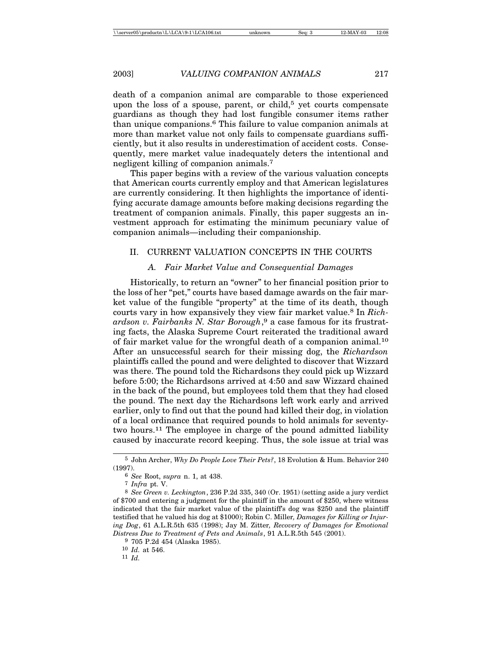death of a companion animal are comparable to those experienced upon the loss of a spouse, parent, or child,<sup>5</sup> yet courts compensate guardians as though they had lost fungible consumer items rather than unique companions.6 This failure to value companion animals at more than market value not only fails to compensate guardians sufficiently, but it also results in underestimation of accident costs. Consequently, mere market value inadequately deters the intentional and negligent killing of companion animals.7

This paper begins with a review of the various valuation concepts that American courts currently employ and that American legislatures are currently considering. It then highlights the importance of identifying accurate damage amounts before making decisions regarding the treatment of companion animals. Finally, this paper suggests an investment approach for estimating the minimum pecuniary value of companion animals—including their companionship.

#### II. CURRENT VALUATION CONCEPTS IN THE COURTS

#### *A. Fair Market Value and Consequential Damages*

Historically, to return an "owner" to her financial position prior to the loss of her "pet," courts have based damage awards on the fair market value of the fungible "property" at the time of its death, though courts vary in how expansively they view fair market value.8 In *Richardson v. Fairbanks N. Star Borough*, 9 a case famous for its frustrating facts, the Alaska Supreme Court reiterated the traditional award of fair market value for the wrongful death of a companion animal.10 After an unsuccessful search for their missing dog, the *Richardson* plaintiffs called the pound and were delighted to discover that Wizzard was there. The pound told the Richardsons they could pick up Wizzard before 5:00; the Richardsons arrived at 4:50 and saw Wizzard chained in the back of the pound, but employees told them that they had closed the pound. The next day the Richardsons left work early and arrived earlier, only to find out that the pound had killed their dog, in violation of a local ordinance that required pounds to hold animals for seventytwo hours.11 The employee in charge of the pound admitted liability caused by inaccurate record keeping. Thus, the sole issue at trial was

9 705 P.2d 454 (Alaska 1985).

10 *Id.* at 546.

11 *Id.*

<sup>5</sup> John Archer, *Why Do People Love Their Pets?*, 18 Evolution & Hum. Behavior 240 (1997).

<sup>6</sup> *See* Root, *supra* n. 1, at 438.

<sup>7</sup> *Infra* pt. V.

<sup>8</sup> *See Green v. Leckington*, 236 P.2d 335, 340 (Or. 1951) (setting aside a jury verdict of \$700 and entering a judgment for the plaintiff in the amount of \$250, where witness indicated that the fair market value of the plaintiff's dog was \$250 and the plaintiff testified that he valued his dog at \$1000); Robin C. Miller*, Damages for Killing or Injuring Dog*, 61 A.L.R.5th 635 (1998); Jay M. Zitter*, Recovery of Damages for Emotional Distress Due to Treatment of Pets and Animals*, 91 A.L.R.5th 545 (2001).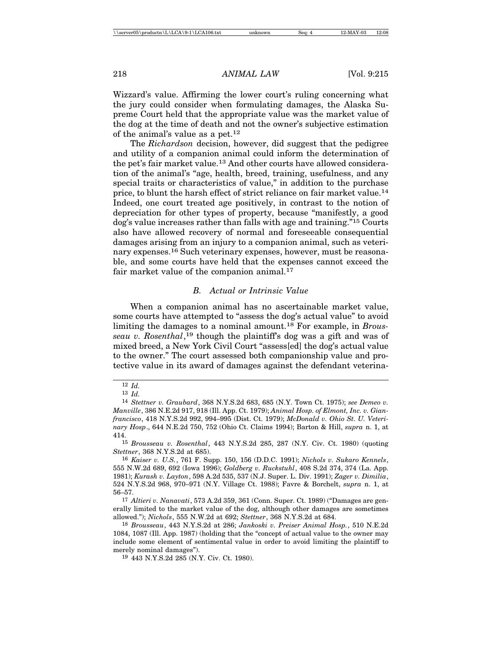Wizzard's value. Affirming the lower court's ruling concerning what the jury could consider when formulating damages, the Alaska Supreme Court held that the appropriate value was the market value of the dog at the time of death and not the owner's subjective estimation of the animal's value as a pet.12

The *Richardson* decision, however, did suggest that the pedigree and utility of a companion animal could inform the determination of the pet's fair market value.13 And other courts have allowed consideration of the animal's "age, health, breed, training, usefulness, and any special traits or characteristics of value," in addition to the purchase price, to blunt the harsh effect of strict reliance on fair market value.14 Indeed, one court treated age positively, in contrast to the notion of depreciation for other types of property, because "manifestly, a good dog's value increases rather than falls with age and training."15 Courts also have allowed recovery of normal and foreseeable consequential damages arising from an injury to a companion animal, such as veterinary expenses.16 Such veterinary expenses, however, must be reasonable, and some courts have held that the expenses cannot exceed the fair market value of the companion animal.<sup>17</sup>

#### *B. Actual or Intrinsic Value*

When a companion animal has no ascertainable market value, some courts have attempted to "assess the dog's actual value" to avoid limiting the damages to a nominal amount.18 For example, in *Brousseau v. Rosenthal*, 19 though the plaintiff's dog was a gift and was of mixed breed, a New York Civil Court "assess[ed] the dog's actual value to the owner." The court assessed both companionship value and protective value in its award of damages against the defendant veterina-

<sup>12</sup> *Id.*

<sup>13</sup> *Id.*

<sup>14</sup> *Stettner v. Graubard*, 368 N.Y.S.2d 683, 685 (N.Y. Town Ct. 1975); *see Demeo v. Manville*, 386 N.E.2d 917, 918 (Ill. App. Ct. 1979); *Animal Hosp. of Elmont, Inc. v. Gianfrancisco*, 418 N.Y.S.2d 992, 994–995 (Dist. Ct. 1979); *McDonald v. Ohio St. U. Veterinary Hosp*., 644 N.E.2d 750, 752 (Ohio Ct. Claims 1994); Barton & Hill, *supra* n. 1, at 414.

<sup>15</sup> *Brousseau v. Rosenthal*, 443 N.Y.S.2d 285, 287 (N.Y. Civ. Ct. 1980) (quoting *Stettner*, 368 N.Y.S.2d at 685).

<sup>16</sup> *Kaiser v. U.S.*, 761 F. Supp. 150, 156 (D.D.C. 1991); *Nichols v. Sukaro Kennels*, 555 N.W.2d 689, 692 (Iowa 1996); *Goldberg v. Ruckstuhl*, 408 S.2d 374, 374 (La. App. 1981); *Kurash v. Layton*, 598 A.2d 535, 537 (N.J. Super. L. Div. 1991); *Zager v. Dimilia*, 524 N.Y.S.2d 968, 970–971 (N.Y. Village Ct. 1988); Favre & Borchelt, *supra* n. 1, at 56–57.

<sup>17</sup> *Altieri v. Nanavati*, 573 A.2d 359, 361 (Conn. Super. Ct. 1989) ("Damages are generally limited to the market value of the dog, although other damages are sometimes allowed."); *Nichols*, 555 N.W.2d at 692; *Stettner*, 368 N.Y.S.2d at 684.

<sup>18</sup> *Brousseau*, 443 N.Y.S.2d at 286; *Jankoski v. Preiser Animal Hosp.*, 510 N.E.2d 1084, 1087 (Ill. App. 1987) (holding that the "concept of actual value to the owner may include some element of sentimental value in order to avoid limiting the plaintiff to merely nominal damages").

<sup>19</sup> 443 N.Y.S.2d 285 (N.Y. Civ. Ct. 1980).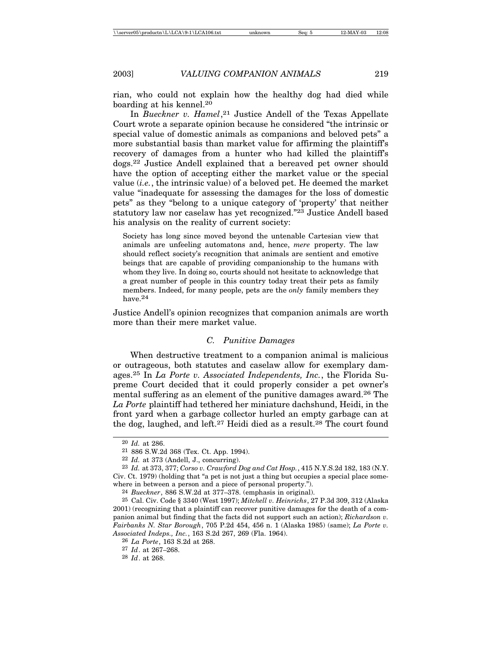rian, who could not explain how the healthy dog had died while boarding at his kennel.20

In *Bueckner v. Hamel*, 21 Justice Andell of the Texas Appellate Court wrote a separate opinion because he considered "the intrinsic or special value of domestic animals as companions and beloved pets" a more substantial basis than market value for affirming the plaintiff's recovery of damages from a hunter who had killed the plaintiff's dogs.22 Justice Andell explained that a bereaved pet owner should have the option of accepting either the market value or the special value (*i.e.*, the intrinsic value) of a beloved pet. He deemed the market value "inadequate for assessing the damages for the loss of domestic pets" as they "belong to a unique category of 'property' that neither statutory law nor caselaw has yet recognized."23 Justice Andell based his analysis on the reality of current society:

Society has long since moved beyond the untenable Cartesian view that animals are unfeeling automatons and, hence, *mere* property. The law should reflect society's recognition that animals are sentient and emotive beings that are capable of providing companionship to the humans with whom they live. In doing so, courts should not hesitate to acknowledge that a great number of people in this country today treat their pets as family members. Indeed, for many people, pets are the *only* family members they have.24

Justice Andell's opinion recognizes that companion animals are worth more than their mere market value.

#### *C. Punitive Damages*

When destructive treatment to a companion animal is malicious or outrageous, both statutes and caselaw allow for exemplary damages.25 In *La Porte v. Associated Independents, Inc.*, the Florida Supreme Court decided that it could properly consider a pet owner's mental suffering as an element of the punitive damages award.26 The *La Porte* plaintiff had tethered her miniature dachshund, Heidi, in the front yard when a garbage collector hurled an empty garbage can at the dog, laughed, and left.27 Heidi died as a result.28 The court found

26 *La Porte*, 163 S.2d at 268.

28 *Id*. at 268.

<sup>20</sup> *Id.* at 286.

<sup>21</sup> 886 S.W.2d 368 (Tex. Ct. App. 1994).

<sup>22</sup> *Id.* at 373 (Andell, J., concurring).

<sup>23</sup> *Id.* at 373, 377; *Corso v. Crawford Dog and Cat Hosp.*, 415 N.Y.S.2d 182, 183 (N.Y. Civ. Ct. 1979) (holding that "a pet is not just a thing but occupies a special place somewhere in between a person and a piece of personal property.").

<sup>24</sup> *Bueckner*, 886 S.W.2d at 377–378. (emphasis in original).

<sup>25</sup> Cal. Civ. Code § 3340 (West 1997); *Mitchell v. Heinrichs*, 27 P.3d 309, 312 (Alaska 2001) (recognizing that a plaintiff can recover punitive damages for the death of a companion animal but finding that the facts did not support such an action); *Richardson v. Fairbanks N. Star Borough*, 705 P.2d 454, 456 n. 1 (Alaska 1985) (same); *La Porte v. Associated Indeps., Inc.*, 163 S.2d 267, 269 (Fla. 1964).

<sup>27</sup> *Id*. at 267–268.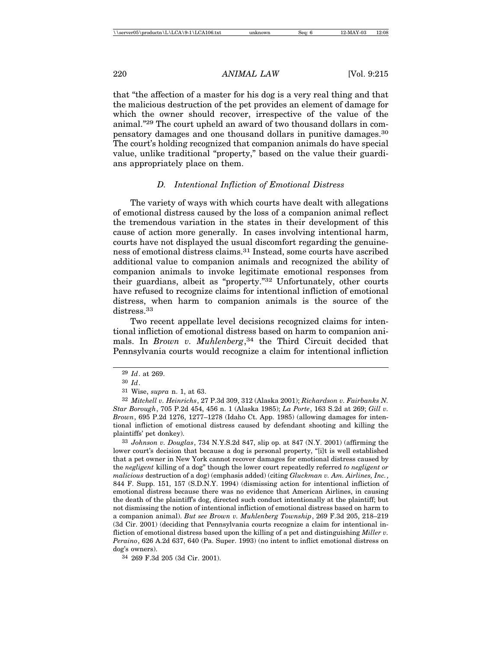that "the affection of a master for his dog is a very real thing and that the malicious destruction of the pet provides an element of damage for which the owner should recover, irrespective of the value of the animal."29 The court upheld an award of two thousand dollars in compensatory damages and one thousand dollars in punitive damages.30 The court's holding recognized that companion animals do have special value, unlike traditional "property," based on the value their guardians appropriately place on them.

## *D. Intentional Infliction of Emotional Distress*

The variety of ways with which courts have dealt with allegations of emotional distress caused by the loss of a companion animal reflect the tremendous variation in the states in their development of this cause of action more generally. In cases involving intentional harm, courts have not displayed the usual discomfort regarding the genuineness of emotional distress claims.31 Instead, some courts have ascribed additional value to companion animals and recognized the ability of companion animals to invoke legitimate emotional responses from their guardians, albeit as "property."32 Unfortunately, other courts have refused to recognize claims for intentional infliction of emotional distress, when harm to companion animals is the source of the distress.<sup>33</sup>

Two recent appellate level decisions recognized claims for intentional infliction of emotional distress based on harm to companion animals. In *Brown v. Muhlenberg*, 34 the Third Circuit decided that Pennsylvania courts would recognize a claim for intentional infliction

33 *Johnson v. Douglas*, 734 N.Y.S.2d 847, slip op. at 847 (N.Y. 2001) (affirming the lower court's decision that because a dog is personal property, "[i]t is well established that a pet owner in New York cannot recover damages for emotional distress caused by the *negligent* killing of a dog" though the lower court repeatedly referred *to negligent or malicious* destruction of a dog) (emphasis added) (citing *Gluckman v. Am. Airlines, Inc.*, 844 F. Supp. 151, 157 (S.D.N.Y. 1994) (dismissing action for intentional infliction of emotional distress because there was no evidence that American Airlines, in causing the death of the plaintiff's dog, directed such conduct intentionally at the plaintiff; but not dismissing the notion of intentional infliction of emotional distress based on harm to a companion animal). *But see Brown v. Muhlenberg Township*, 269 F.3d 205, 218–219 (3d Cir. 2001) (deciding that Pennsylvania courts recognize a claim for intentional infliction of emotional distress based upon the killing of a pet and distinguishing *Miller v. Peraino*, 626 A.2d 637, 640 (Pa. Super. 1993) (no intent to inflict emotional distress on dog's owners).

34 269 F.3d 205 (3d Cir. 2001).

<sup>29</sup> *Id*. at 269.

<sup>30</sup> *Id*.

<sup>31</sup> Wise, *supra* n. 1, at 63.

<sup>32</sup> *Mitchell v. Heinrichs*, 27 P.3d 309, 312 (Alaska 2001); *Richardson v. Fairbanks N. Star Borough*, 705 P.2d 454, 456 n. 1 (Alaska 1985); *La Porte*, 163 S.2d at 269; *Gill v. Brown*, 695 P.2d 1276, 1277–1278 (Idaho Ct. App. 1985) (allowing damages for intentional infliction of emotional distress caused by defendant shooting and killing the plaintiffs' pet donkey).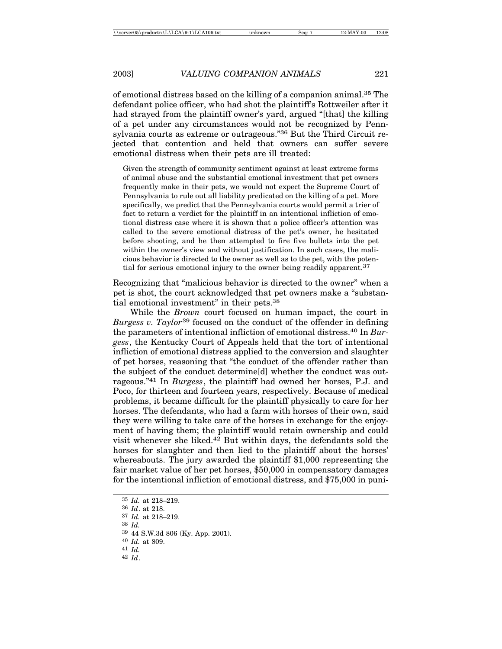of emotional distress based on the killing of a companion animal.35 The defendant police officer, who had shot the plaintiff's Rottweiler after it had strayed from the plaintiff owner's yard, argued "[that] the killing of a pet under any circumstances would not be recognized by Pennsylvania courts as extreme or outrageous."36 But the Third Circuit rejected that contention and held that owners can suffer severe emotional distress when their pets are ill treated:

Given the strength of community sentiment against at least extreme forms of animal abuse and the substantial emotional investment that pet owners frequently make in their pets, we would not expect the Supreme Court of Pennsylvania to rule out all liability predicated on the killing of a pet. More specifically, we predict that the Pennsylvania courts would permit a trier of fact to return a verdict for the plaintiff in an intentional infliction of emotional distress case where it is shown that a police officer's attention was called to the severe emotional distress of the pet's owner, he hesitated before shooting, and he then attempted to fire five bullets into the pet within the owner's view and without justification. In such cases, the malicious behavior is directed to the owner as well as to the pet, with the potential for serious emotional injury to the owner being readily apparent.37

Recognizing that "malicious behavior is directed to the owner" when a pet is shot, the court acknowledged that pet owners make a "substantial emotional investment" in their pets.38

While the *Brown* court focused on human impact, the court in *Burgess v. Taylor*39 focused on the conduct of the offender in defining the parameters of intentional infliction of emotional distress.40 In *Burgess*, the Kentucky Court of Appeals held that the tort of intentional infliction of emotional distress applied to the conversion and slaughter of pet horses, reasoning that "the conduct of the offender rather than the subject of the conduct determine[d] whether the conduct was outrageous."41 In *Burgess*, the plaintiff had owned her horses, P.J. and Poco, for thirteen and fourteen years, respectively. Because of medical problems, it became difficult for the plaintiff physically to care for her horses. The defendants, who had a farm with horses of their own, said they were willing to take care of the horses in exchange for the enjoyment of having them; the plaintiff would retain ownership and could visit whenever she liked.42 But within days, the defendants sold the horses for slaughter and then lied to the plaintiff about the horses' whereabouts. The jury awarded the plaintiff \$1,000 representing the fair market value of her pet horses, \$50,000 in compensatory damages for the intentional infliction of emotional distress, and \$75,000 in puni-

38 *Id.*

<sup>35</sup> *Id.* at 218–219.

<sup>36</sup> *Id*. at 218.

<sup>37</sup> *Id.* at 218–219.

<sup>39</sup> 44 S.W.3d 806 (Ky. App. 2001).

<sup>40</sup> *Id.* at 809.

<sup>41</sup> *Id.*

<sup>42</sup> *Id*.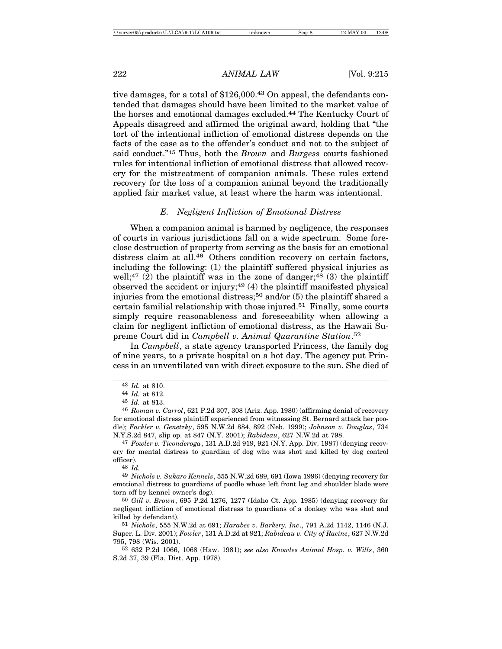tive damages, for a total of \$126,000.<sup>43</sup> On appeal, the defendants contended that damages should have been limited to the market value of the horses and emotional damages excluded.44 The Kentucky Court of Appeals disagreed and affirmed the original award, holding that "the tort of the intentional infliction of emotional distress depends on the facts of the case as to the offender's conduct and not to the subject of said conduct."45 Thus, both the *Brown* and *Burgess* courts fashioned rules for intentional infliction of emotional distress that allowed recovery for the mistreatment of companion animals. These rules extend recovery for the loss of a companion animal beyond the traditionally applied fair market value, at least where the harm was intentional.

### *E. Negligent Infliction of Emotional Distress*

When a companion animal is harmed by negligence, the responses of courts in various jurisdictions fall on a wide spectrum. Some foreclose destruction of property from serving as the basis for an emotional distress claim at all.<sup>46</sup> Others condition recovery on certain factors, including the following: (1) the plaintiff suffered physical injuries as well;<sup>47</sup> (2) the plaintiff was in the zone of danger;<sup>48</sup> (3) the plaintiff observed the accident or injury;<sup>49</sup> $(4)$  the plaintiff manifested physical injuries from the emotional distress;<sup>50</sup> and/or  $(5)$  the plaintiff shared a certain familial relationship with those injured.<sup>51</sup> Finally, some courts simply require reasonableness and foreseeability when allowing a claim for negligent infliction of emotional distress, as the Hawaii Supreme Court did in *Campbell v. Animal Quarantine Station*. 52

In *Campbell*, a state agency transported Princess, the family dog of nine years, to a private hospital on a hot day. The agency put Princess in an unventilated van with direct exposure to the sun. She died of

<sup>43</sup> *Id.* at 810.

<sup>44</sup> *Id.* at 812.

<sup>45</sup> *Id.* at 813.

<sup>46</sup> *Roman v. Carrol*, 621 P.2d 307, 308 (Ariz. App. 1980) (affirming denial of recovery for emotional distress plaintiff experienced from witnessing St. Bernard attack her poodle); *Fackler v. Genetzky*, 595 N.W.2d 884, 892 (Neb. 1999); *Johnson v. Douglas*, 734 N.Y.S.2d 847, slip op. at 847 (N.Y. 2001); *Rabideau*, 627 N.W.2d at 798.

<sup>47</sup> *Fowler v. Ticonderoga*, 131 A.D.2d 919, 921 (N.Y. App. Div. 1987) (denying recovery for mental distress to guardian of dog who was shot and killed by dog control officer).

<sup>48</sup> *Id.*

<sup>49</sup> *Nichols v. Sukaro Kennels*, 555 N.W.2d 689, 691 (Iowa 1996) (denying recovery for emotional distress to guardians of poodle whose left front leg and shoulder blade were torn off by kennel owner's dog).

<sup>50</sup> *Gill v. Brown*, 695 P.2d 1276, 1277 (Idaho Ct. App. 1985) (denying recovery for negligent infliction of emotional distress to guardians of a donkey who was shot and killed by defendant).

<sup>51</sup> *Nichols*, 555 N.W.2d at 691; *Harabes v. Barkery, Inc*., 791 A.2d 1142, 1146 (N.J. Super. L. Div. 2001); *Fowler*, 131 A.D.2d at 921; *Rabideau v. City of Racine*, 627 N.W.2d 795, 798 (Wis. 2001).

<sup>52</sup> 632 P.2d 1066, 1068 (Haw. 1981); *see also Knowles Animal Hosp. v. Wills*, 360 S.2d 37, 39 (Fla. Dist. App. 1978).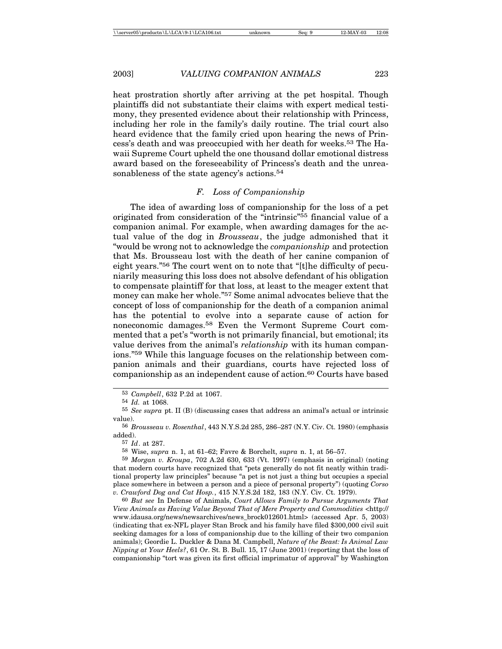heat prostration shortly after arriving at the pet hospital. Though plaintiffs did not substantiate their claims with expert medical testimony, they presented evidence about their relationship with Princess, including her role in the family's daily routine. The trial court also heard evidence that the family cried upon hearing the news of Princess's death and was preoccupied with her death for weeks.53 The Hawaii Supreme Court upheld the one thousand dollar emotional distress award based on the foreseeability of Princess's death and the unreasonableness of the state agency's actions.<sup>54</sup>

#### *F. Loss of Companionship*

The idea of awarding loss of companionship for the loss of a pet originated from consideration of the "intrinsic"55 financial value of a companion animal. For example, when awarding damages for the actual value of the dog in *Brousseau*, the judge admonished that it "would be wrong not to acknowledge the *companionship* and protection that Ms. Brousseau lost with the death of her canine companion of eight years."56 The court went on to note that "[t]he difficulty of pecuniarily measuring this loss does not absolve defendant of his obligation to compensate plaintiff for that loss, at least to the meager extent that money can make her whole."57 Some animal advocates believe that the concept of loss of companionship for the death of a companion animal has the potential to evolve into a separate cause of action for noneconomic damages.58 Even the Vermont Supreme Court commented that a pet's "worth is not primarily financial, but emotional; its value derives from the animal's *relationship* with its human companions."59 While this language focuses on the relationship between companion animals and their guardians, courts have rejected loss of companionship as an independent cause of action.<sup>60</sup> Courts have based

58 Wise, *supra* n. 1, at 61–62; Favre & Borchelt, *supra* n. 1, at 56–57.

<sup>53</sup> *Campbell*, 632 P.2d at 1067.

<sup>54</sup> *Id.* at 1068.

<sup>55</sup> *See supra* pt. II (B) (discussing cases that address an animal's actual or intrinsic value).

<sup>56</sup> *Brousseau v. Rosenthal*, 443 N.Y.S.2d 285, 286–287 (N.Y. Civ. Ct. 1980) (emphasis added).

<sup>57</sup> *Id*. at 287.

<sup>59</sup> *Morgan v. Kroupa*, 702 A.2d 630, 633 (Vt. 1997) (emphasis in original) (noting that modern courts have recognized that "pets generally do not fit neatly within traditional property law principles" because "a pet is not just a thing but occupies a special place somewhere in between a person and a piece of personal property") (quoting *Corso v. Crawford Dog and Cat Hosp.*, 415 N.Y.S.2d 182, 183 (N.Y. Civ. Ct. 1979).

<sup>60</sup> *But see* In Defense of Animals, *Court Allows Family to Pursue Arguments That View Animals as Having Value Beyond That of Mere Property and Commodities* <http:// www.idausa.org/news/newsarchives/news\_brock012601.html> (accessed Apr. 5, 2003) (indicating that ex-NFL player Stan Brock and his family have filed \$300,000 civil suit seeking damages for a loss of companionship due to the killing of their two companion animals); Geordie L. Duckler & Dana M. Campbell, *Nature of the Beast: Is Animal Law Nipping at Your Heels?*, 61 Or. St. B. Bull. 15, 17 (June 2001) (reporting that the loss of companionship "tort was given its first official imprimatur of approval" by Washington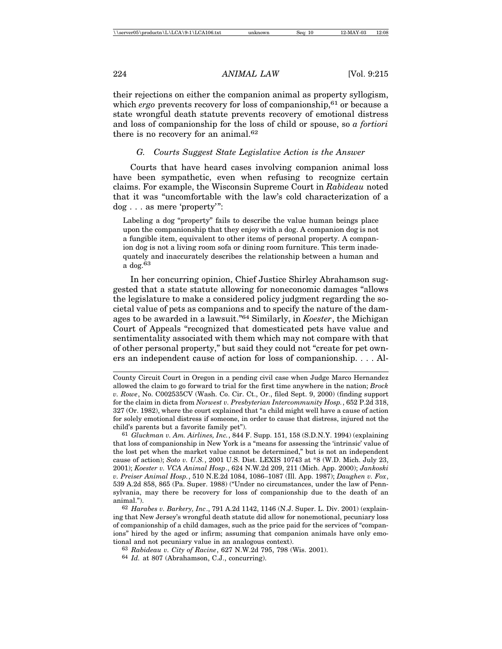their rejections on either the companion animal as property syllogism, which *ergo* prevents recovery for loss of companionship,<sup>61</sup> or because a state wrongful death statute prevents recovery of emotional distress and loss of companionship for the loss of child or spouse, so *a fortiori* there is no recovery for an animal.62

#### *G. Courts Suggest State Legislative Action is the Answer*

Courts that have heard cases involving companion animal loss have been sympathetic, even when refusing to recognize certain claims. For example, the Wisconsin Supreme Court in *Rabideau* noted that it was "uncomfortable with the law's cold characterization of a dog . . . as mere 'property'":

Labeling a dog "property" fails to describe the value human beings place upon the companionship that they enjoy with a dog. A companion dog is not a fungible item, equivalent to other items of personal property. A companion dog is not a living room sofa or dining room furniture. This term inadequately and inaccurately describes the relationship between a human and a dog.63

In her concurring opinion, Chief Justice Shirley Abrahamson suggested that a state statute allowing for noneconomic damages "allows the legislature to make a considered policy judgment regarding the societal value of pets as companions and to specify the nature of the damages to be awarded in a lawsuit."64 Similarly, in *Koester*, the Michigan Court of Appeals "recognized that domesticated pets have value and sentimentality associated with them which may not compare with that of other personal property," but said they could not "create for pet owners an independent cause of action for loss of companionship. . . . Al-

63 *Rabideau v. City of Racine*, 627 N.W.2d 795, 798 (Wis. 2001).

County Circuit Court in Oregon in a pending civil case when Judge Marco Hernandez allowed the claim to go forward to trial for the first time anywhere in the nation; *Brock v. Rowe*, No. C002535CV (Wash. Co. Cir. Ct., Or., filed Sept. 9, 2000) (finding support for the claim in dicta from *Norwest v. Presbyterian Intercommunity Hosp.*, 652 P.2d 318, 327 (Or. 1982), where the court explained that "a child might well have a cause of action for solely emotional distress if someone, in order to cause that distress, injured not the child's parents but a favorite family pet").

<sup>61</sup> *Gluckman v. Am. Airlines, Inc.*, 844 F. Supp. 151, 158 (S.D.N.Y. 1994) (explaining that loss of companionship in New York is a "means for assessing the 'intrinsic' value of the lost pet when the market value cannot be determined," but is not an independent cause of action); *Soto v. U.S.*, 2001 U.S. Dist. LEXIS 10743 at \*8 (W.D. Mich. July 23, 2001); *Koester v. VCA Animal Hosp*., 624 N.W.2d 209, 211 (Mich. App. 2000); *Jankoski v. Preiser Animal Hosp.*, 510 N.E.2d 1084, 1086–1087 (Ill. App. 1987); *Daughen v. Fox*, 539 A.2d 858, 865 (Pa. Super. 1988) ("Under no circumstances, under the law of Pennsylvania, may there be recovery for loss of companionship due to the death of an animal.").

<sup>62</sup> *Harabes v. Barkery, Inc*., 791 A.2d 1142, 1146 (N.J. Super. L. Div. 2001) (explaining that New Jersey's wrongful death statute did allow for nonemotional, pecuniary loss of companionship of a child damages, such as the price paid for the services of "companions" hired by the aged or infirm; assuming that companion animals have only emotional and not pecuniary value in an analogous context).

<sup>64</sup> *Id.* at 807 (Abrahamson, C.J., concurring).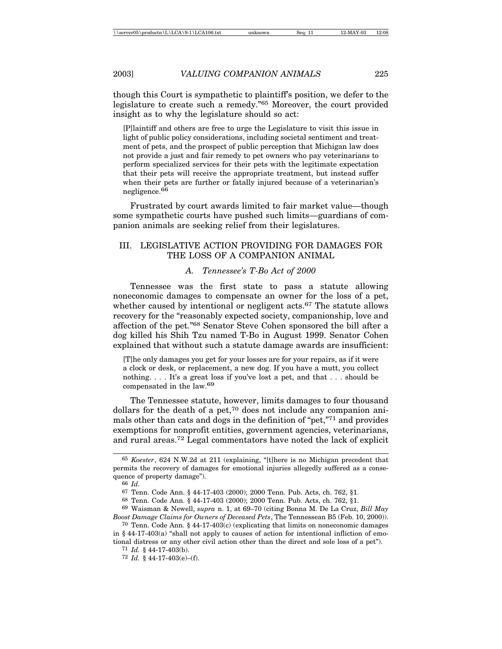though this Court is sympathetic to plaintiff's position, we defer to the legislature to create such a remedy."65 Moreover, the court provided insight as to why the legislature should so act:

[P]laintiff and others are free to urge the Legislature to visit this issue in light of public policy considerations, including societal sentiment and treatment of pets, and the prospect of public perception that Michigan law does not provide a just and fair remedy to pet owners who pay veterinarians to perform specialized services for their pets with the legitimate expectation that their pets will receive the appropriate treatment, but instead suffer when their pets are further or fatally injured because of a veterinarian's negligence.66

Frustrated by court awards limited to fair market value—though some sympathetic courts have pushed such limits—guardians of companion animals are seeking relief from their legislatures.

## III. LEGISLATIVE ACTION PROVIDING FOR DAMAGES FOR THE LOSS OF A COMPANION ANIMAL

### *A. Tennessee's T-Bo Act of 2000*

Tennessee was the first state to pass a statute allowing noneconomic damages to compensate an owner for the loss of a pet, whether caused by intentional or negligent acts.<sup>67</sup> The statute allows recovery for the "reasonably expected society, companionship, love and affection of the pet."68 Senator Steve Cohen sponsored the bill after a dog killed his Shih Tzu named T-Bo in August 1999. Senator Cohen explained that without such a statute damage awards are insufficient:

[T]he only damages you get for your losses are for your repairs, as if it were a clock or desk, or replacement, a new dog. If you have a mutt, you collect nothing. . . . It's a great loss if you've lost a pet, and that . . . should be compensated in the law.69

The Tennessee statute, however, limits damages to four thousand dollars for the death of a pet,<sup>70</sup> does not include any companion animals other than cats and dogs in the definition of "pet,"71 and provides exemptions for nonprofit entities, government agencies, veterinarians, and rural areas.72 Legal commentators have noted the lack of explicit

<sup>65</sup> *Koester*, 624 N.W.2d at 211 (explaining, "[t]here is no Michigan precedent that permits the recovery of damages for emotional injuries allegedly suffered as a consequence of property damage").

<sup>66</sup> *Id.*

<sup>67</sup> Tenn. Code Ann. § 44-17-403 (2000); 2000 Tenn. Pub. Acts, ch. 762, §1.

<sup>68</sup> Tenn. Code Ann. § 44-17-403 (2000); 2000 Tenn. Pub. Acts, ch. 762, §1.

<sup>69</sup> Waisman & Newell, *supra* n. 1, at 69–70 (citing Bonna M. De La Cruz, *Bill May Boost Damage Claims for Owners of Deceased Pets*, The Tennessean B5 (Feb. 10, 2000)).

<sup>70</sup> Tenn. Code Ann. § 44-17-403(c) (explicating that limits on noneconomic damages in § 44-17-403(a) "shall not apply to causes of action for intentional infliction of emo-

tional distress or any other civil action other than the direct and sole loss of a pet"). 71 *Id.* § 44-17-403(b).

<sup>72</sup> *Id.* § 44-17-403(e)–(f).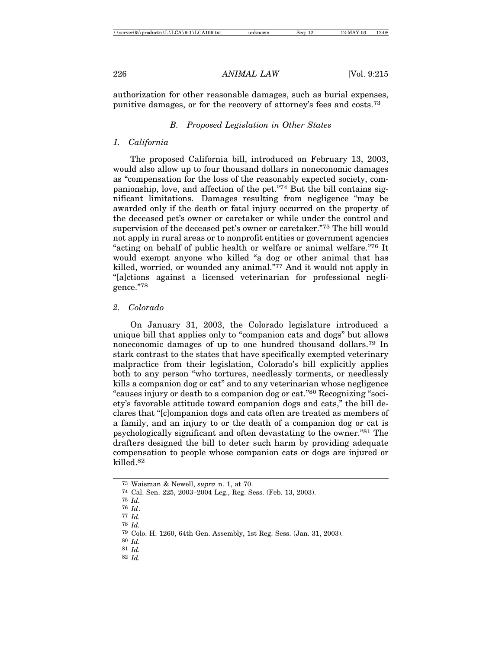authorization for other reasonable damages, such as burial expenses, punitive damages, or for the recovery of attorney's fees and costs.73

#### *B. Proposed Legislation in Other States*

#### *1. California*

The proposed California bill, introduced on February 13, 2003, would also allow up to four thousand dollars in noneconomic damages as "compensation for the loss of the reasonably expected society, companionship, love, and affection of the pet."74 But the bill contains significant limitations. Damages resulting from negligence "may be awarded only if the death or fatal injury occurred on the property of the deceased pet's owner or caretaker or while under the control and supervision of the deceased pet's owner or caretaker."75 The bill would not apply in rural areas or to nonprofit entities or government agencies "acting on behalf of public health or welfare or animal welfare."76 It would exempt anyone who killed "a dog or other animal that has killed, worried, or wounded any animal."77 And it would not apply in "[a]ctions against a licensed veterinarian for professional negligence."78

#### *2. Colorado*

On January 31, 2003, the Colorado legislature introduced a unique bill that applies only to "companion cats and dogs" but allows noneconomic damages of up to one hundred thousand dollars.79 In stark contrast to the states that have specifically exempted veterinary malpractice from their legislation, Colorado's bill explicitly applies both to any person "who tortures, needlessly torments, or needlessly kills a companion dog or cat" and to any veterinarian whose negligence "causes injury or death to a companion dog or cat."80 Recognizing "society's favorable attitude toward companion dogs and cats," the bill declares that "[c]ompanion dogs and cats often are treated as members of a family, and an injury to or the death of a companion dog or cat is psychologically significant and often devastating to the owner."81 The drafters designed the bill to deter such harm by providing adequate compensation to people whose companion cats or dogs are injured or killed.82

<sup>73</sup> Waisman & Newell, *supra* n. 1, at 70.

<sup>74</sup> Cal. Sen. 225, 2003–2004 Leg., Reg. Sess. (Feb. 13, 2003).

<sup>75</sup> *Id.*

<sup>76</sup> *Id*.

<sup>77</sup> *Id.* 78 *Id.*

<sup>79</sup> Colo. H. 1260, 64th Gen. Assembly, 1st Reg. Sess. (Jan. 31, 2003).

<sup>80</sup> *Id.*

<sup>81</sup> *Id.*

<sup>82</sup> *Id.*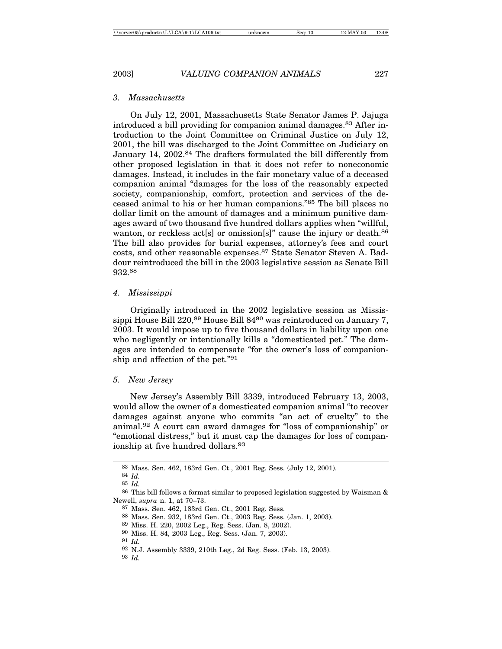*3. Massachusetts*

On July 12, 2001, Massachusetts State Senator James P. Jajuga introduced a bill providing for companion animal damages.83 After introduction to the Joint Committee on Criminal Justice on July 12, 2001, the bill was discharged to the Joint Committee on Judiciary on January 14, 2002.84 The drafters formulated the bill differently from other proposed legislation in that it does not refer to noneconomic damages. Instead, it includes in the fair monetary value of a deceased companion animal "damages for the loss of the reasonably expected society, companionship, comfort, protection and services of the deceased animal to his or her human companions."85 The bill places no dollar limit on the amount of damages and a minimum punitive damages award of two thousand five hundred dollars applies when "willful, wanton, or reckless act[s] or omission[s]" cause the injury or death.<sup>86</sup> The bill also provides for burial expenses, attorney's fees and court costs, and other reasonable expenses.87 State Senator Steven A. Baddour reintroduced the bill in the 2003 legislative session as Senate Bill 932.<sup>88</sup>

#### *4. Mississippi*

Originally introduced in the 2002 legislative session as Mississippi House Bill 220,<sup>89</sup> House Bill 84<sup>90</sup> was reintroduced on January 7, 2003. It would impose up to five thousand dollars in liability upon one who negligently or intentionally kills a "domesticated pet." The damages are intended to compensate "for the owner's loss of companionship and affection of the pet."91

#### *5. New Jersey*

New Jersey's Assembly Bill 3339, introduced February 13, 2003, would allow the owner of a domesticated companion animal "to recover damages against anyone who commits "an act of cruelty" to the animal.92 A court can award damages for "loss of companionship" or "emotional distress," but it must cap the damages for loss of companionship at five hundred dollars.<sup>93</sup>

<sup>83</sup> Mass. Sen. 462, 183rd Gen. Ct., 2001 Reg. Sess. (July 12, 2001).

<sup>84</sup> *Id.*

<sup>85</sup> *Id.*

<sup>86</sup> This bill follows a format similar to proposed legislation suggested by Waisman & Newell, *supra* n. 1, at 70–73.

<sup>87</sup> Mass. Sen. 462, 183rd Gen. Ct., 2001 Reg. Sess.

<sup>88</sup> Mass. Sen. 932, 183rd Gen. Ct., 2003 Reg. Sess. (Jan. 1, 2003).

<sup>89</sup> Miss. H. 220, 2002 Leg., Reg. Sess. (Jan. 8, 2002).

<sup>90</sup> Miss. H. 84, 2003 Leg., Reg. Sess. (Jan. 7, 2003).

<sup>91</sup> *Id.*

<sup>92</sup> N.J. Assembly 3339, 210th Leg., 2d Reg. Sess. (Feb. 13, 2003).

<sup>93</sup> *Id.*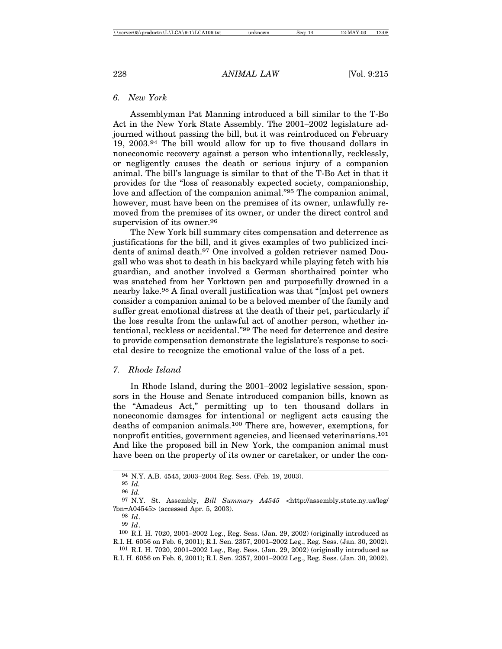## *6. New York*

Assemblyman Pat Manning introduced a bill similar to the T-Bo Act in the New York State Assembly. The 2001–2002 legislature adjourned without passing the bill, but it was reintroduced on February 19, 2003.94 The bill would allow for up to five thousand dollars in noneconomic recovery against a person who intentionally, recklessly, or negligently causes the death or serious injury of a companion animal. The bill's language is similar to that of the T-Bo Act in that it provides for the "loss of reasonably expected society, companionship, love and affection of the companion animal."95 The companion animal, however, must have been on the premises of its owner, unlawfully removed from the premises of its owner, or under the direct control and supervision of its owner.<sup>96</sup>

The New York bill summary cites compensation and deterrence as justifications for the bill, and it gives examples of two publicized incidents of animal death.97 One involved a golden retriever named Dougall who was shot to death in his backyard while playing fetch with his guardian, and another involved a German shorthaired pointer who was snatched from her Yorktown pen and purposefully drowned in a nearby lake.98 A final overall justification was that "[m]ost pet owners consider a companion animal to be a beloved member of the family and suffer great emotional distress at the death of their pet, particularly if the loss results from the unlawful act of another person, whether intentional, reckless or accidental."99 The need for deterrence and desire to provide compensation demonstrate the legislature's response to societal desire to recognize the emotional value of the loss of a pet.

## *7. Rhode Island*

In Rhode Island, during the 2001–2002 legislative session, sponsors in the House and Senate introduced companion bills, known as the "Amadeus Act," permitting up to ten thousand dollars in noneconomic damages for intentional or negligent acts causing the deaths of companion animals.100 There are, however, exemptions, for nonprofit entities, government agencies, and licensed veterinarians.101 And like the proposed bill in New York, the companion animal must have been on the property of its owner or caretaker, or under the con-

<sup>94</sup> N.Y. A.B. 4545, 2003–2004 Reg. Sess. (Feb. 19, 2003).

<sup>95</sup> *Id.*

<sup>96</sup> *Id.*

<sup>97</sup> N.Y. St. Assembly, *Bill Summary A4545* <http://assembly.state.ny.us/leg/ ?bn=A04545> (accessed Apr. 5, 2003).

<sup>98</sup> *Id*.

<sup>99</sup> *Id*.

<sup>100</sup> R.I. H. 7020, 2001–2002 Leg., Reg. Sess. (Jan. 29, 2002) (originally introduced as R.I. H. 6056 on Feb. 6, 2001); R.I. Sen. 2357, 2001–2002 Leg., Reg. Sess. (Jan. 30, 2002).

<sup>101</sup> R.I. H. 7020, 2001–2002 Leg., Reg. Sess. (Jan. 29, 2002) (originally introduced as R.I. H. 6056 on Feb. 6, 2001); R.I. Sen. 2357, 2001–2002 Leg., Reg. Sess. (Jan. 30, 2002).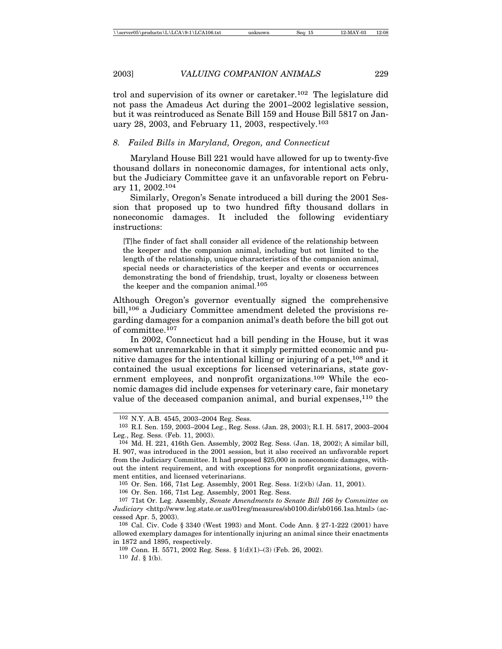trol and supervision of its owner or caretaker.102 The legislature did not pass the Amadeus Act during the 2001–2002 legislative session, but it was reintroduced as Senate Bill 159 and House Bill 5817 on January 28, 2003, and February 11, 2003, respectively.103

#### *8. Failed Bills in Maryland, Oregon, and Connecticut*

Maryland House Bill 221 would have allowed for up to twenty-five thousand dollars in noneconomic damages, for intentional acts only, but the Judiciary Committee gave it an unfavorable report on February 11, 2002.104

Similarly, Oregon's Senate introduced a bill during the 2001 Session that proposed up to two hundred fifty thousand dollars in noneconomic damages. It included the following evidentiary instructions:

[T]he finder of fact shall consider all evidence of the relationship between the keeper and the companion animal, including but not limited to the length of the relationship, unique characteristics of the companion animal, special needs or characteristics of the keeper and events or occurrences demonstrating the bond of friendship, trust, loyalty or closeness between the keeper and the companion animal.<sup>105</sup>

Although Oregon's governor eventually signed the comprehensive bill,106 a Judiciary Committee amendment deleted the provisions regarding damages for a companion animal's death before the bill got out of committee.107

In 2002, Connecticut had a bill pending in the House, but it was somewhat unremarkable in that it simply permitted economic and punitive damages for the intentional killing or injuring of a pet,  $108$  and it contained the usual exceptions for licensed veterinarians, state government employees, and nonprofit organizations.109 While the economic damages did include expenses for veterinary care, fair monetary value of the deceased companion animal, and burial expenses,<sup>110</sup> the

105 Or. Sen. 166, 71st Leg. Assembly, 2001 Reg. Sess. 1(2)(b) (Jan. 11, 2001).

106 Or. Sen. 166, 71st Leg. Assembly, 2001 Reg. Sess.

109 Conn. H. 5571, 2002 Reg. Sess. § 1(d)(1)–(3) (Feb. 26, 2002).

110 *Id*. § 1(b).

<sup>102</sup> N.Y. A.B. 4545, 2003–2004 Reg. Sess.

<sup>103</sup> R.I. Sen. 159, 2003–2004 Leg., Reg. Sess. (Jan. 28, 2003); R.I. H. 5817, 2003–2004 Leg., Reg. Sess. (Feb. 11, 2003).

<sup>104</sup> Md. H. 221, 416th Gen. Assembly, 2002 Reg. Sess. (Jan. 18, 2002); A similar bill, H. 907, was introduced in the 2001 session, but it also received an unfavorable report from the Judiciary Committee. It had proposed \$25,000 in noneconomic damages, without the intent requirement, and with exceptions for nonprofit organizations, government entities, and licensed veterinarians.

<sup>107</sup> 71st Or. Leg. Assembly, *Senate Amendments to Senate Bill 166 by Committee on Judiciary* <http://www.leg.state.or.us/01reg/measures/sb0100.dir/sb0166.1sa.html> (accessed Apr. 5, 2003).

<sup>108</sup> Cal. Civ. Code § 3340 (West 1993) and Mont. Code Ann. § 27-1-222 (2001) have allowed exemplary damages for intentionally injuring an animal since their enactments in 1872 and 1895, respectively.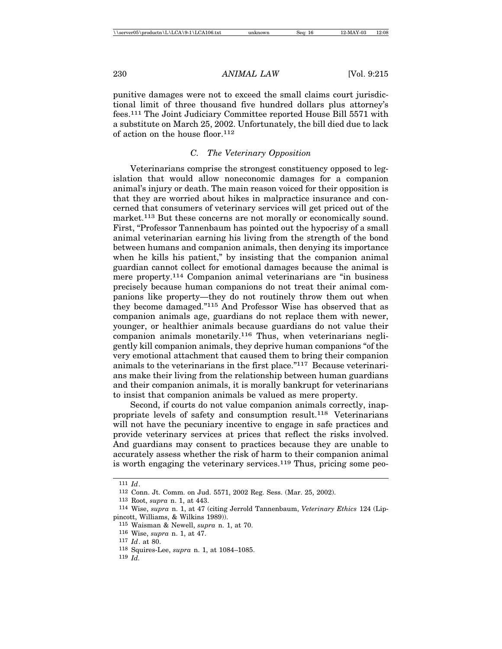punitive damages were not to exceed the small claims court jurisdictional limit of three thousand five hundred dollars plus attorney's fees.111 The Joint Judiciary Committee reported House Bill 5571 with a substitute on March 25, 2002. Unfortunately, the bill died due to lack of action on the house floor.112

## *C. The Veterinary Opposition*

Veterinarians comprise the strongest constituency opposed to legislation that would allow noneconomic damages for a companion animal's injury or death. The main reason voiced for their opposition is that they are worried about hikes in malpractice insurance and concerned that consumers of veterinary services will get priced out of the market.<sup>113</sup> But these concerns are not morally or economically sound. First, "Professor Tannenbaum has pointed out the hypocrisy of a small animal veterinarian earning his living from the strength of the bond between humans and companion animals, then denying its importance when he kills his patient," by insisting that the companion animal guardian cannot collect for emotional damages because the animal is mere property.114 Companion animal veterinarians are "in business precisely because human companions do not treat their animal companions like property—they do not routinely throw them out when they become damaged."115 And Professor Wise has observed that as companion animals age, guardians do not replace them with newer, younger, or healthier animals because guardians do not value their companion animals monetarily.116 Thus, when veterinarians negligently kill companion animals, they deprive human companions "of the very emotional attachment that caused them to bring their companion animals to the veterinarians in the first place."117 Because veterinarians make their living from the relationship between human guardians and their companion animals, it is morally bankrupt for veterinarians to insist that companion animals be valued as mere property.

Second, if courts do not value companion animals correctly, inappropriate levels of safety and consumption result.118 Veterinarians will not have the pecuniary incentive to engage in safe practices and provide veterinary services at prices that reflect the risks involved. And guardians may consent to practices because they are unable to accurately assess whether the risk of harm to their companion animal is worth engaging the veterinary services.<sup>119</sup> Thus, pricing some peo-

<sup>111</sup> *Id*.

<sup>112</sup> Conn. Jt. Comm. on Jud. 5571, 2002 Reg. Sess. (Mar. 25, 2002).

<sup>113</sup> Root, *supra* n. 1, at 443.

<sup>114</sup> Wise, *supra* n. 1, at 47 (citing Jerrold Tannenbaum, *Veterinary Ethics* 124 (Lippincott, Williams, & Wilkins 1989)).

<sup>115</sup> Waisman & Newell, *supra* n. 1, at 70.

<sup>116</sup> Wise, *supra* n. 1, at 47.

<sup>117</sup> *Id*. at 80.

<sup>118</sup> Squires-Lee, *supra* n. 1, at 1084–1085.

<sup>119</sup> *Id.*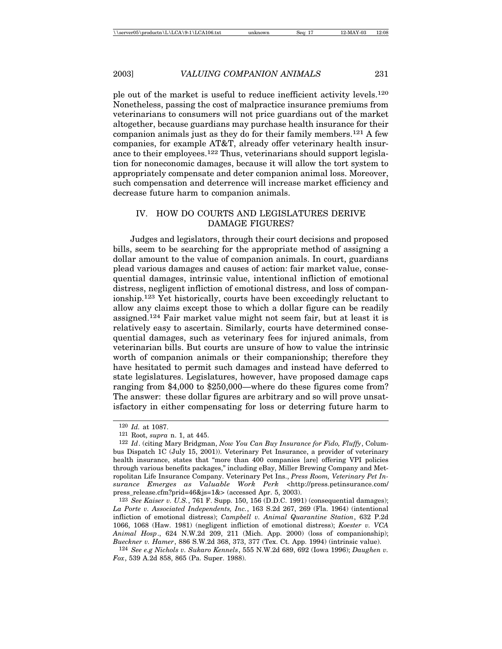ple out of the market is useful to reduce inefficient activity levels.120 Nonetheless, passing the cost of malpractice insurance premiums from veterinarians to consumers will not price guardians out of the market altogether, because guardians may purchase health insurance for their companion animals just as they do for their family members.121 A few companies, for example AT&T, already offer veterinary health insurance to their employees.122 Thus, veterinarians should support legislation for noneconomic damages, because it will allow the tort system to appropriately compensate and deter companion animal loss. Moreover, such compensation and deterrence will increase market efficiency and decrease future harm to companion animals.

## IV. HOW DO COURTS AND LEGISLATURES DERIVE DAMAGE FIGURES?

Judges and legislators, through their court decisions and proposed bills, seem to be searching for the appropriate method of assigning a dollar amount to the value of companion animals. In court, guardians plead various damages and causes of action: fair market value, consequential damages, intrinsic value, intentional infliction of emotional distress, negligent infliction of emotional distress, and loss of companionship.123 Yet historically, courts have been exceedingly reluctant to allow any claims except those to which a dollar figure can be readily assigned.124 Fair market value might not seem fair, but at least it is relatively easy to ascertain. Similarly, courts have determined consequential damages, such as veterinary fees for injured animals, from veterinarian bills. But courts are unsure of how to value the intrinsic worth of companion animals or their companionship; therefore they have hesitated to permit such damages and instead have deferred to state legislatures. Legislatures, however, have proposed damage caps ranging from \$4,000 to \$250,000—where do these figures come from? The answer: these dollar figures are arbitrary and so will prove unsatisfactory in either compensating for loss or deterring future harm to

<sup>120</sup> *Id.* at 1087.

<sup>121</sup> Root, *supra* n. 1, at 445.

<sup>122</sup> *Id*. (citing Mary Bridgman, *Now You Can Buy Insurance for Fido, Fluffy*, Columbus Dispatch 1C (July 15, 2001)). Veterinary Pet Insurance, a provider of veterinary health insurance, states that "more than 400 companies [are] offering VPI policies through various benefits packages," including eBay, Miller Brewing Company and Metropolitan Life Insurance Company. Veterinary Pet Ins., *Press Room, Veterinary Pet Insurance Emerges as Valuable Work Perk* <http://press.petinsurance.com/ press\_release.cfm?prid=46&js=1&> (accessed Apr. 5, 2003).

<sup>123</sup> *See Kaiser v. U.S.*, 761 F. Supp. 150, 156 (D.D.C. 1991) (consequential damages); *La Porte v. Associated Independents, Inc.*, 163 S.2d 267, 269 (Fla. 1964) (intentional infliction of emotional distress); *Campbell v. Animal Quarantine Station*, 632 P.2d 1066, 1068 (Haw. 1981) (negligent infliction of emotional distress); *Koester v. VCA Animal Hosp*., 624 N.W.2d 209, 211 (Mich. App. 2000) (loss of companionship); *Bueckner v. Hamer*, 886 S.W.2d 368, 373, 377 (Tex. Ct. App. 1994) (intrinsic value).

<sup>124</sup> *See e.g Nichols v. Sukaro Kennels*, 555 N.W.2d 689, 692 (Iowa 1996); *Daughen v. Fox*, 539 A.2d 858, 865 (Pa. Super. 1988).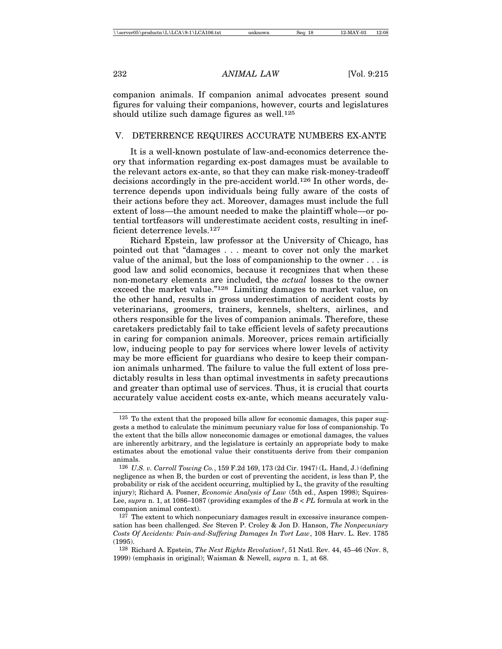companion animals. If companion animal advocates present sound figures for valuing their companions, however, courts and legislatures should utilize such damage figures as well.<sup>125</sup>

## V. DETERRENCE REQUIRES ACCURATE NUMBERS EX-ANTE

It is a well-known postulate of law-and-economics deterrence theory that information regarding ex-post damages must be available to the relevant actors ex-ante, so that they can make risk-money-tradeoff decisions accordingly in the pre-accident world.126 In other words, deterrence depends upon individuals being fully aware of the costs of their actions before they act. Moreover, damages must include the full extent of loss—the amount needed to make the plaintiff whole—or potential tortfeasors will underestimate accident costs, resulting in inefficient deterrence levels.127

Richard Epstein, law professor at the University of Chicago, has pointed out that "damages . . . meant to cover not only the market value of the animal, but the loss of companionship to the owner . . . is good law and solid economics, because it recognizes that when these non-monetary elements are included, the *actual* losses to the owner exceed the market value."128 Limiting damages to market value, on the other hand, results in gross underestimation of accident costs by veterinarians, groomers, trainers, kennels, shelters, airlines, and others responsible for the lives of companion animals. Therefore, these caretakers predictably fail to take efficient levels of safety precautions in caring for companion animals. Moreover, prices remain artificially low, inducing people to pay for services where lower levels of activity may be more efficient for guardians who desire to keep their companion animals unharmed. The failure to value the full extent of loss predictably results in less than optimal investments in safety precautions and greater than optimal use of services. Thus, it is crucial that courts accurately value accident costs ex-ante, which means accurately valu-

<sup>125</sup> To the extent that the proposed bills allow for economic damages, this paper suggests a method to calculate the minimum pecuniary value for loss of companionship. To the extent that the bills allow noneconomic damages or emotional damages, the values are inherently arbitrary, and the legislature is certainly an appropriate body to make estimates about the emotional value their constituents derive from their companion animals.

<sup>126</sup> *U.S. v. Carroll Towing Co.*, 159 F.2d 169, 173 (2d Cir. 1947) (L. Hand, J.) (defining negligence as when B, the burden or cost of preventing the accident, is less than P, the probability or risk of the accident occurring, multiplied by L, the gravity of the resulting injury); Richard A. Posner, *Economic Analysis of Law* (5th ed., Aspen 1998); Squires-Lee, *supra* n. 1, at 1086–1087 (providing examples of the *B < PL* formula at work in the companion animal context).

<sup>127</sup> The extent to which nonpecuniary damages result in excessive insurance compensation has been challenged. *See* Steven P. Croley & Jon D. Hanson, *The Nonpecuniary Costs Of Accidents: Pain-and-Suffering Damages In Tort Law*, 108 Harv. L. Rev. 1785 (1995).

<sup>128</sup> Richard A. Epstein, *The Next Rights Revolution?*, 51 Natl. Rev. 44, 45–46 (Nov. 8, 1999) (emphasis in original); Waisman & Newell, *supra* n. 1, at 68.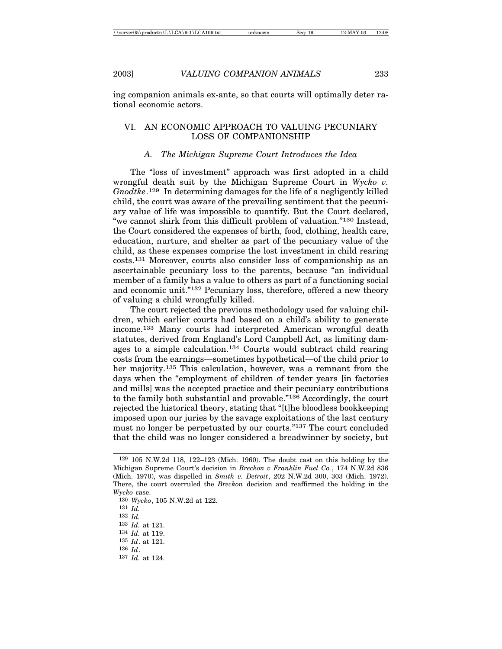ing companion animals ex-ante, so that courts will optimally deter rational economic actors.

## VI. AN ECONOMIC APPROACH TO VALUING PECUNIARY LOSS OF COMPANIONSHIP

#### *A. The Michigan Supreme Court Introduces the Idea*

The "loss of investment" approach was first adopted in a child wrongful death suit by the Michigan Supreme Court in *Wycko v. Gnodtke*. 129 In determining damages for the life of a negligently killed child, the court was aware of the prevailing sentiment that the pecuniary value of life was impossible to quantify. But the Court declared, "we cannot shirk from this difficult problem of valuation."130 Instead, the Court considered the expenses of birth, food, clothing, health care, education, nurture, and shelter as part of the pecuniary value of the child, as these expenses comprise the lost investment in child rearing costs.131 Moreover, courts also consider loss of companionship as an ascertainable pecuniary loss to the parents, because "an individual member of a family has a value to others as part of a functioning social and economic unit."132 Pecuniary loss, therefore, offered a new theory of valuing a child wrongfully killed.

The court rejected the previous methodology used for valuing children, which earlier courts had based on a child's ability to generate income.133 Many courts had interpreted American wrongful death statutes, derived from England's Lord Campbell Act, as limiting damages to a simple calculation.134 Courts would subtract child rearing costs from the earnings—sometimes hypothetical—of the child prior to her majority.<sup>135</sup> This calculation, however, was a remnant from the days when the "employment of children of tender years [in factories and mills] was the accepted practice and their pecuniary contributions to the family both substantial and provable."136 Accordingly, the court rejected the historical theory, stating that "[t]he bloodless bookkeeping imposed upon our juries by the savage exploitations of the last century must no longer be perpetuated by our courts."137 The court concluded that the child was no longer considered a breadwinner by society, but

<sup>129</sup> 105 N.W.2d 118, 122–123 (Mich. 1960). The doubt cast on this holding by the Michigan Supreme Court's decision in *Breckon v Franklin Fuel Co.*, 174 N.W.2d 836 (Mich. 1970), was dispelled in *Smith v. Detroit*, 202 N.W.2d 300, 303 (Mich. 1972). There, the court overruled the *Breckon* decision and reaffirmed the holding in the *Wycko* case.

<sup>130</sup> *Wycko*, 105 N.W.2d at 122.

<sup>131</sup> *Id.*

<sup>132</sup> *Id.*

<sup>133</sup> *Id.* at 121.

<sup>134</sup> *Id.* at 119.

<sup>135</sup> *Id*. at 121.

<sup>136</sup> *Id*.

<sup>137</sup> *Id.* at 124.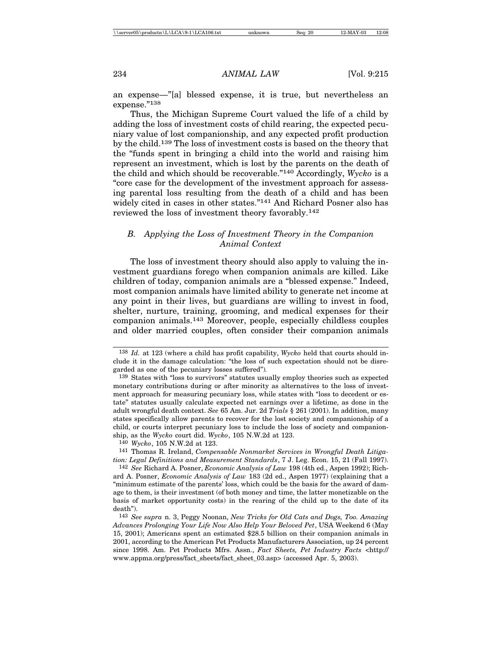an expense—"[a] blessed expense, it is true, but nevertheless an expense."138

Thus, the Michigan Supreme Court valued the life of a child by adding the loss of investment costs of child rearing, the expected pecuniary value of lost companionship, and any expected profit production by the child.139 The loss of investment costs is based on the theory that the "funds spent in bringing a child into the world and raising him represent an investment, which is lost by the parents on the death of the child and which should be recoverable."140 Accordingly, *Wycko* is a "core case for the development of the investment approach for assessing parental loss resulting from the death of a child and has been widely cited in cases in other states."141 And Richard Posner also has reviewed the loss of investment theory favorably.142

## *B. Applying the Loss of Investment Theory in the Companion Animal Context*

The loss of investment theory should also apply to valuing the investment guardians forego when companion animals are killed. Like children of today, companion animals are a "blessed expense." Indeed, most companion animals have limited ability to generate net income at any point in their lives, but guardians are willing to invest in food, shelter, nurture, training, grooming, and medical expenses for their companion animals.143 Moreover, people, especially childless couples and older married couples, often consider their companion animals

141 Thomas R. Ireland, *Compensable Nonmarket Services in Wrongful Death Litigation: Legal Definitions and Measurement Standards*, 7 J. Leg. Econ. 15, 21 (Fall 1997).

142 *See* Richard A. Posner, *Economic Analysis of Law* 198 (4th ed., Aspen 1992); Richard A. Posner, *Economic Analysis of Law* 183 (2d ed., Aspen 1977) (explaining that a "minimum estimate of the parents' loss, which could be the basis for the award of damage to them, is their investment (of both money and time, the latter monetizable on the basis of market opportunity costs) in the rearing of the child up to the date of its death").

143 *See supra* n. 3, Peggy Noonan, *New Tricks for Old Cats and Dogs, Too. Amazing Advances Prolonging Your Life Now Also Help Your Beloved Pet*, USA Weekend 6 (May 15, 2001); Americans spent an estimated \$28.5 billion on their companion animals in 2001, according to the American Pet Products Manufacturers Association, up 24 percent since 1998. Am. Pet Products Mfrs. Assn., *Fact Sheets, Pet Industry Facts* <http:// www.appma.org/press/fact\_sheets/fact\_sheet\_03.asp> (accessed Apr. 5, 2003).

<sup>138</sup> *Id.* at 123 (where a child has profit capability, *Wycko* held that courts should include it in the damage calculation: "the loss of such expectation should not be disregarded as one of the pecuniary losses suffered")*.*

<sup>139</sup> States with "loss to survivors" statutes usually employ theories such as expected monetary contributions during or after minority as alternatives to the loss of investment approach for measuring pecuniary loss, while states with "loss to decedent or estate" statutes usually calculate expected net earnings over a lifetime, as done in the adult wrongful death context. *See* 65 Am. Jur. 2d *Trials* § 261 (2001). In addition, many states specifically allow parents to recover for the lost society and companionship of a child, or courts interpret pecuniary loss to include the loss of society and companionship, as the *Wycko* court did. *Wycko*, 105 N.W.2d at 123.

<sup>140</sup> *Wycko*, 105 N.W.2d at 123.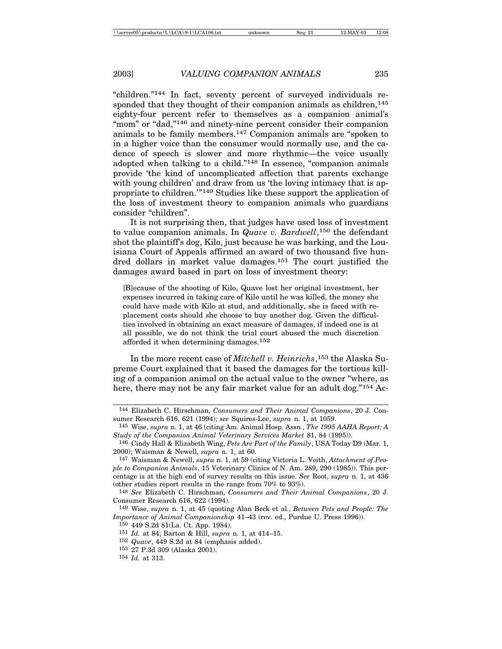"children."144 In fact, seventy percent of surveyed individuals responded that they thought of their companion animals as children, $145$ eighty-four percent refer to themselves as a companion animal's "mom" or "dad,"<sup>146</sup> and ninety-nine percent consider their companion animals to be family members.147 Companion animals are "spoken to in a higher voice than the consumer would normally use, and the cadence of speech is slower and more rhythmic—the voice usually adopted when talking to a child."148 In essence, "companion animals provide 'the kind of uncomplicated affection that parents exchange with young children' and draw from us 'the loving intimacy that is appropriate to children.'"149 Studies like these support the application of the loss of investment theory to companion animals who guardians consider "children".

It is not surprising then, that judges have used loss of investment to value companion animals. In *Quave v. Bardwell*,<sup>150</sup> the defendant shot the plaintiff's dog, Kilo, just because he was barking, and the Louisiana Court of Appeals affirmed an award of two thousand five hundred dollars in market value damages.151 The court justified the damages award based in part on loss of investment theory:

[B]ecause of the shooting of Kilo, Quave lost her original investment, her expenses incurred in taking care of Kilo until he was killed, the money she could have made with Kilo at stud, and additionally, she is faced with replacement costs should she choose to buy another dog. Given the difficulties involved in obtaining an exact measure of damages, if indeed one is at all possible, we do not think the trial court abused the much discretion afforded it when determining damages.152

In the more recent case of *Mitchell v. Heinrichs*, 153 the Alaska Supreme Court explained that it based the damages for the tortious killing of a companion animal on the actual value to the owner "where, as here, there may not be any fair market value for an adult dog."154 Ac-

<sup>144</sup> Elizabeth C. Hirschman, *Consumers and Their Animal Companions*, 20 J. Consumer Research 616, 621 (1994); *see* Squires-Lee, *supra* n. 1, at 1059.

<sup>145</sup> Wise, *supra* n. 1, at 46 (citing Am. Animal Hosp. Assn., *The 1995 AAHA Report: A Study of the Companion Animal Veterinary Services Market* 81, 84 (1995)).

<sup>146</sup> Cindy Hall & Elizabeth Wing, *Pets Are Part of the Family*, USA Today D9 (Mar. 1, 2000); Waisman & Newell, *supra* n. 1, at 60.

<sup>147</sup> Waisman & Newell, *supra* n. 1, at 59 (citing Victoria L. Voith, *Attachment of People to Companion Animals*, 15 Veterinary Clinics of N. Am. 289, 290 (1985)). This percentage is at the high end of survey results on this issue. *See* Root, *supra* n. 1, at 436 (other studies report results in the range from 70% to 93%).

<sup>148</sup> *See* Elizabeth C. Hirschman, *Consumers and Their Animal Companions*, 20 J. Consumer Research 616, 622 (1994).

<sup>149</sup> Wise, *supra* n. 1, at 45 (quoting Alan Beck et al., *Between Pets and People: The Importance of Animal Companionship* 41–43 (rev. ed., Purdue U. Press 1996)).

<sup>150</sup> 449 S.2d 81(La. Ct. App. 1984).

<sup>151</sup> *Id.* at 84; Barton & Hill, *supra* n. 1, at 414–15.

<sup>152</sup> *Quave*, 449 S.2d at 84 (emphasis added).

<sup>153</sup> 27 P.3d 309 (Alaska 2001).

<sup>154</sup> *Id.* at 313.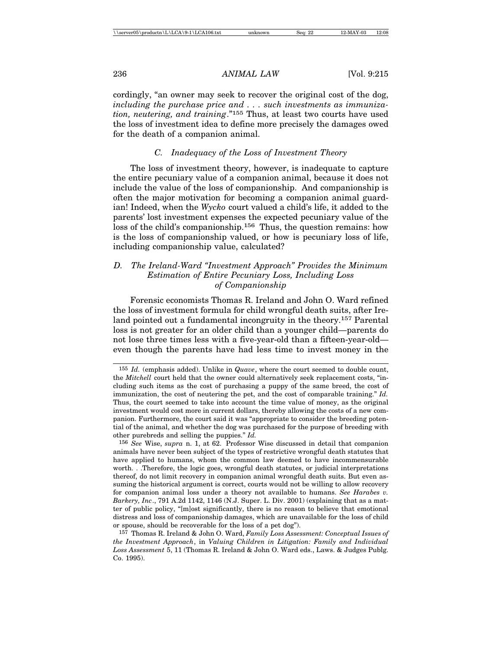cordingly, "an owner may seek to recover the original cost of the dog, *including the purchase price and . . . such investments as immunization, neutering, and training*."155 Thus, at least two courts have used the loss of investment idea to define more precisely the damages owed for the death of a companion animal.

## *C. Inadequacy of the Loss of Investment Theory*

The loss of investment theory, however, is inadequate to capture the entire pecuniary value of a companion animal, because it does not include the value of the loss of companionship. And companionship is often the major motivation for becoming a companion animal guardian! Indeed, when the *Wycko* court valued a child's life, it added to the parents' lost investment expenses the expected pecuniary value of the loss of the child's companionship.156 Thus, the question remains: how is the loss of companionship valued, or how is pecuniary loss of life, including companionship value, calculated?

## *D. The Ireland-Ward "Investment Approach" Provides the Minimum Estimation of Entire Pecuniary Loss, Including Loss of Companionship*

Forensic economists Thomas R. Ireland and John O. Ward refined the loss of investment formula for child wrongful death suits, after Ireland pointed out a fundamental incongruity in the theory.<sup>157</sup> Parental loss is not greater for an older child than a younger child—parents do not lose three times less with a five-year-old than a fifteen-year-old even though the parents have had less time to invest money in the

<sup>155</sup> *Id.* (emphasis added). Unlike in *Quave*, where the court seemed to double count, the *Mitchell* court held that the owner could alternatively seek replacement costs, "including such items as the cost of purchasing a puppy of the same breed, the cost of immunization, the cost of neutering the pet, and the cost of comparable training." *Id.* Thus, the court seemed to take into account the time value of money, as the original investment would cost more in current dollars, thereby allowing the costs of a new companion. Furthermore, the court said it was "appropriate to consider the breeding potential of the animal, and whether the dog was purchased for the purpose of breeding with other purebreds and selling the puppies." *Id.*

<sup>156</sup> *See* Wise, *supra* n. 1, at 62. Professor Wise discussed in detail that companion animals have never been subject of the types of restrictive wrongful death statutes that have applied to humans, whom the common law deemed to have incommensurable worth. . .Therefore, the logic goes, wrongful death statutes, or judicial interpretations thereof, do not limit recovery in companion animal wrongful death suits. But even assuming the historical argument is correct, courts would not be willing to allow recovery for companion animal loss under a theory not available to humans. *See Harabes v. Barkery, Inc*., 791 A.2d 1142, 1146 (N.J. Super. L. Div. 2001) (explaining that as a matter of public policy, "[m]ost significantly, there is no reason to believe that emotional distress and loss of companionship damages, which are unavailable for the loss of child or spouse, should be recoverable for the loss of a pet dog").

<sup>157</sup> Thomas R. Ireland & John O. Ward, *Family Loss Assessment: Conceptual Issues of the Investment Approach*, in *Valuing Children in Litigation: Family and Individual Loss Assessment* 5, 11 (Thomas R. Ireland & John O. Ward eds., Laws. & Judges Publg. Co. 1995).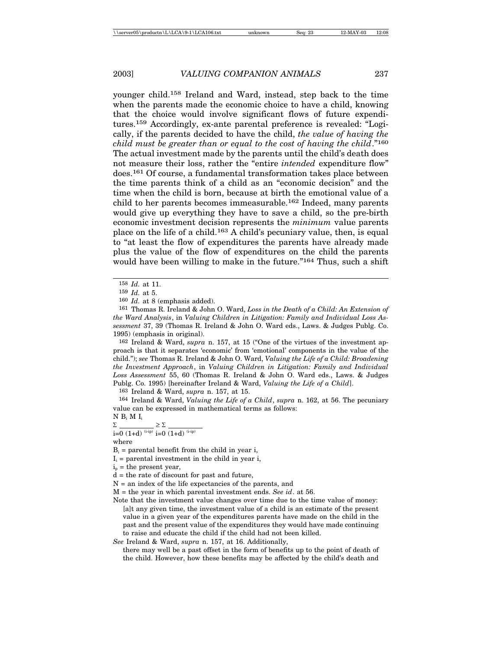younger child.158 Ireland and Ward, instead, step back to the time when the parents made the economic choice to have a child, knowing that the choice would involve significant flows of future expenditures.159 Accordingly, ex-ante parental preference is revealed: "Logically, if the parents decided to have the child, *the value of having the child must be greater than or equal to the cost of having the child*."160 The actual investment made by the parents until the child's death does not measure their loss, rather the "entire *intended* expenditure flow" does.161 Of course, a fundamental transformation takes place between the time parents think of a child as an "economic decision" and the time when the child is born, because at birth the emotional value of a child to her parents becomes immeasurable.162 Indeed, many parents would give up everything they have to save a child, so the pre-birth economic investment decision represents the *minimum* value parents place on the life of a child.163 A child's pecuniary value, then, is equal to "at least the flow of expenditures the parents have already made plus the value of the flow of expenditures on the child the parents would have been willing to make in the future."<sup>164</sup> Thus, such a shift

162 Ireland & Ward, *supra* n. 157, at 15 ("One of the virtues of the investment approach is that it separates 'economic' from 'emotional' components in the value of the child."); *see* Thomas R. Ireland & John O. Ward, *Valuing the Life of a Child: Broadening the Investment Approach*, in *Valuing Children in Litigation: Family and Individual Loss Assessment* 55, 60 (Thomas R. Ireland & John O. Ward eds., Laws. & Judges Publg. Co. 1995) [hereinafter Ireland & Ward, *Valuing the Life of a Child*].

163 Ireland & Ward, *supra* n. 157, at 15.

164 Ireland & Ward, *Valuing the Life of a Child*, *supra* n. 162, at 56. The pecuniary value can be expressed in mathematical terms as follows:

## $N B_i M I_i$

 $\Sigma$   $\geq$   $\Sigma$  $i=0$  (1+d)  $(i-ip)$   $i=0$  (1+d)  $(i-ip)$ 

where

 $B_i$  = parental benefit from the child in year i,

 $I_i$  = parental investment in the child in year i,

 $i_p$  = the present year,

M = the year in which parental investment ends. *See id*. at 56.

Note that the investment value changes over time due to the time value of money: [a]t any given time, the investment value of a child is an estimate of the present value in a given year of the expenditures parents have made on the child in the past and the present value of the expenditures they would have made continuing to raise and educate the child if the child had not been killed.

*See* Ireland & Ward, *supra* n. 157, at 16. Additionally,

there may well be a past offset in the form of benefits up to the point of death of the child. However, how these benefits may be affected by the child's death and

<sup>158</sup> *Id.* at 11.

<sup>159</sup> *Id.* at 5.

<sup>160</sup> *Id.* at 8 (emphasis added).

<sup>161</sup> Thomas R. Ireland & John O. Ward, *Loss in the Death of a Child: An Extension of the Ward Analysis*, in *Valuing Children in Litigation: Family and Individual Loss Assessment* 37, 39 (Thomas R. Ireland & John O. Ward eds., Laws. & Judges Publg. Co. 1995) (emphasis in original).

 $d =$  the rate of discount for past and future,

N = an index of the life expectancies of the parents, and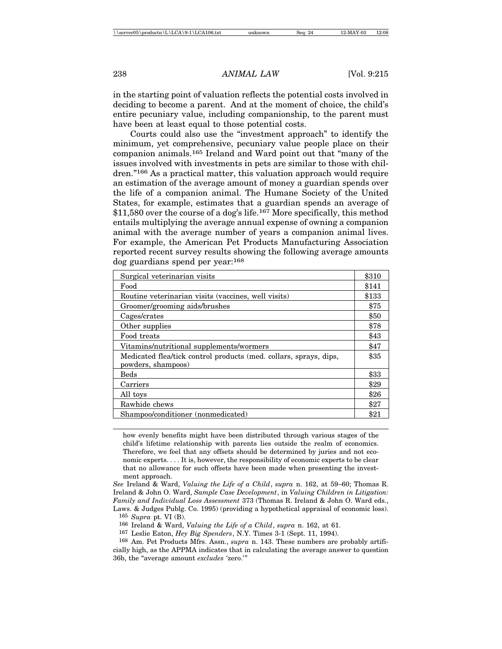in the starting point of valuation reflects the potential costs involved in deciding to become a parent. And at the moment of choice, the child's entire pecuniary value, including companionship, to the parent must have been at least equal to those potential costs.

Courts could also use the "investment approach" to identify the minimum, yet comprehensive, pecuniary value people place on their companion animals.165 Ireland and Ward point out that "many of the issues involved with investments in pets are similar to those with children."166 As a practical matter, this valuation approach would require an estimation of the average amount of money a guardian spends over the life of a companion animal. The Humane Society of the United States, for example, estimates that a guardian spends an average of \$11,580 over the course of a dog's life.167 More specifically, this method entails multiplying the average annual expense of owning a companion animal with the average number of years a companion animal lives. For example, the American Pet Products Manufacturing Association reported recent survey results showing the following average amounts dog guardians spend per year:168

| Surgical veterinarian visits                                                            | \$310 |
|-----------------------------------------------------------------------------------------|-------|
| Food                                                                                    | \$141 |
| Routine veterinarian visits (vaccines, well visits)                                     | \$133 |
| Groomer/grooming aids/brushes                                                           | \$75  |
| Cages/crates                                                                            | \$50  |
| Other supplies                                                                          | \$78  |
| Food treats                                                                             | \$43  |
| Vitamins/nutritional supplements/wormers                                                | \$47  |
| Medicated flea/tick control products (med. collars, sprays, dips,<br>powders, shampoos) | \$35  |
| <b>Beds</b>                                                                             | \$33  |
| Carriers                                                                                | \$29  |
| All toys                                                                                | \$26  |
| Rawhide chews                                                                           | \$27  |
| Shampoo/conditioner (nonmedicated)                                                      | \$2   |

how evenly benefits might have been distributed through various stages of the child's lifetime relationship with parents lies outside the realm of economics. Therefore, we feel that any offsets should be determined by juries and not economic experts. . . . It is, however, the responsibility of economic experts to be clear that no allowance for such offsets have been made when presenting the investment approach.

*See* Ireland & Ward, *Valuing the Life of a Child*, *supra* n. 162, at 59–60; Thomas R. Ireland & John O. Ward, *Sample Case Development*, in *Valuing Children in Litigation: Family and Individual Loss Assessment* 373 (Thomas R. Ireland & John O. Ward eds., Laws. & Judges Publg. Co. 1995) (providing a hypothetical appraisal of economic loss).

165 *Supra* pt. VI (B).

166 Ireland & Ward, *Valuing the Life of a Child*, *supra* n. 162, at 61.

167 Leslie Eaton, *Hey Big Spenders*, N.Y. Times 3-1 (Sept. 11, 1994).

168 Am. Pet Products Mfrs. Assn., *supra* n. 143. These numbers are probably artificially high, as the APPMA indicates that in calculating the average answer to question 36b, the "average amount *excludes* 'zero.'"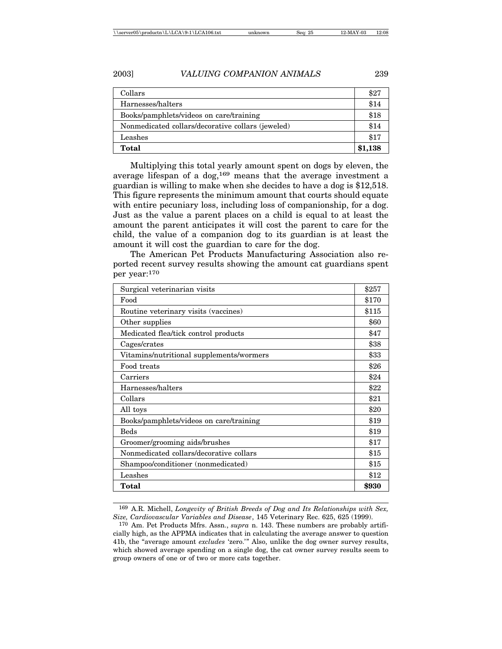| Collars                                           | \$27    |
|---------------------------------------------------|---------|
| Harnesses/halters                                 | \$14    |
| Books/pamphlets/videos on care/training           | \$18    |
| Nonmedicated collars/decorative collars (jeweled) | \$14    |
| Leashes                                           | \$17    |
| Total                                             | \$1,138 |

Multiplying this total yearly amount spent on dogs by eleven, the average lifespan of a dog,<sup>169</sup> means that the average investment a guardian is willing to make when she decides to have a dog is \$12,518. This figure represents the minimum amount that courts should equate with entire pecuniary loss, including loss of companionship, for a dog. Just as the value a parent places on a child is equal to at least the amount the parent anticipates it will cost the parent to care for the child, the value of a companion dog to its guardian is at least the amount it will cost the guardian to care for the dog.

The American Pet Products Manufacturing Association also reported recent survey results showing the amount cat guardians spent per year:170

| Surgical veterinarian visits             | \$257  |
|------------------------------------------|--------|
| Food                                     | \$170  |
| Routine veterinary visits (vaccines)     | \$115  |
| Other supplies                           | \$60   |
| Medicated flea/tick control products     | \$47   |
| Cages/crates                             | \$38   |
| Vitamins/nutritional supplements/wormers | \$33   |
| Food treats                              | \$26   |
| Carriers                                 | \$24   |
| Harnesses/halters                        | \$22   |
| Collars                                  | $\$21$ |
| All toys                                 | \$20   |
| Books/pamphlets/videos on care/training  | \$19   |
| <b>Beds</b>                              | \$19   |
| Groomer/grooming aids/brushes            | \$17   |
| Nonmedicated collars/decorative collars  | \$15   |
| Shampoo/conditioner (nonmedicated)       | \$15   |
| Leashes                                  | \$12   |
| Total                                    | \$930  |

169 A.R. Michell, *Longevity of British Breeds of Dog and Its Relationships with Sex, Size, Cardiovascular Variables and Disease*, 145 Veterinary Rec. 625, 625 (1999).

<sup>170</sup> Am. Pet Products Mfrs. Assn., *supra* n. 143. These numbers are probably artificially high, as the APPMA indicates that in calculating the average answer to question 41b, the "average amount *excludes* 'zero.'" Also, unlike the dog owner survey results, which showed average spending on a single dog, the cat owner survey results seem to group owners of one or of two or more cats together.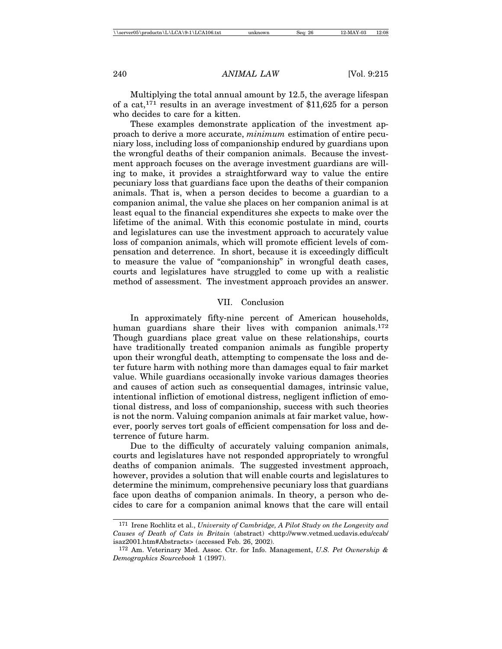Multiplying the total annual amount by 12.5, the average lifespan of a cat,<sup>171</sup> results in an average investment of \$11,625 for a person who decides to care for a kitten.

These examples demonstrate application of the investment approach to derive a more accurate, *minimum* estimation of entire pecuniary loss, including loss of companionship endured by guardians upon the wrongful deaths of their companion animals. Because the investment approach focuses on the average investment guardians are willing to make, it provides a straightforward way to value the entire pecuniary loss that guardians face upon the deaths of their companion animals. That is, when a person decides to become a guardian to a companion animal, the value she places on her companion animal is at least equal to the financial expenditures she expects to make over the lifetime of the animal. With this economic postulate in mind, courts and legislatures can use the investment approach to accurately value loss of companion animals, which will promote efficient levels of compensation and deterrence. In short, because it is exceedingly difficult to measure the value of "companionship" in wrongful death cases, courts and legislatures have struggled to come up with a realistic method of assessment. The investment approach provides an answer.

#### VII. Conclusion

In approximately fifty-nine percent of American households, human guardians share their lives with companion animals.<sup>172</sup> Though guardians place great value on these relationships, courts have traditionally treated companion animals as fungible property upon their wrongful death, attempting to compensate the loss and deter future harm with nothing more than damages equal to fair market value. While guardians occasionally invoke various damages theories and causes of action such as consequential damages, intrinsic value, intentional infliction of emotional distress, negligent infliction of emotional distress, and loss of companionship, success with such theories is not the norm. Valuing companion animals at fair market value, however, poorly serves tort goals of efficient compensation for loss and deterrence of future harm.

Due to the difficulty of accurately valuing companion animals, courts and legislatures have not responded appropriately to wrongful deaths of companion animals. The suggested investment approach, however, provides a solution that will enable courts and legislatures to determine the minimum, comprehensive pecuniary loss that guardians face upon deaths of companion animals. In theory, a person who decides to care for a companion animal knows that the care will entail

<sup>171</sup> Irene Rochlitz et al., *University of Cambridge, A Pilot Study on the Longevity and Causes of Death of Cats in Britain* (abstract) <http://www.vetmed.ucdavis.edu/ccab/ isaz2001.htm#Abstracts> (accessed Feb. 26, 2002).

<sup>172</sup> Am. Veterinary Med. Assoc. Ctr. for Info. Management, *U.S. Pet Ownership & Demographics Sourcebook* 1 (1997).